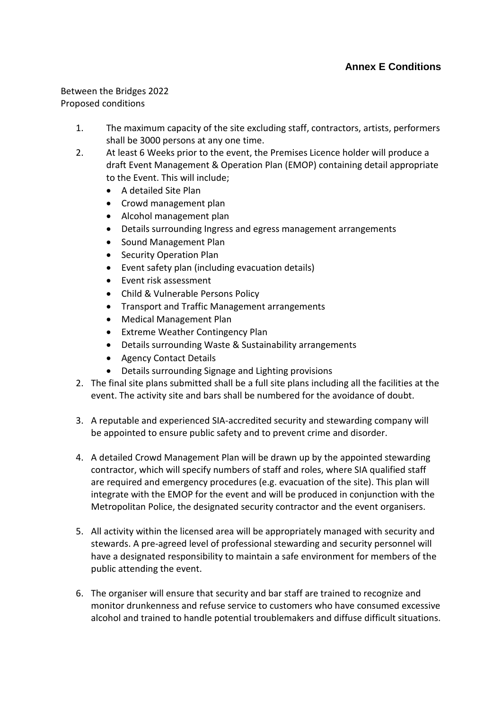## **Annex E Conditions**

## Between the Bridges 2022

Proposed conditions

- 1. The maximum capacity of the site excluding staff, contractors, artists, performers shall be 3000 persons at any one time.
- 2. At least 6 Weeks prior to the event, the Premises Licence holder will produce a draft Event Management & Operation Plan (EMOP) containing detail appropriate to the Event. This will include;
	- A detailed Site Plan
	- Crowd management plan
	- Alcohol management plan
	- Details surrounding Ingress and egress management arrangements
	- Sound Management Plan
	- Security Operation Plan
	- Event safety plan (including evacuation details)
	- Event risk assessment
	- Child & Vulnerable Persons Policy
	- Transport and Traffic Management arrangements
	- Medical Management Plan
	- Extreme Weather Contingency Plan
	- Details surrounding Waste & Sustainability arrangements
	- Agency Contact Details
	- Details surrounding Signage and Lighting provisions
- 2. The final site plans submitted shall be a full site plans including all the facilities at the event. The activity site and bars shall be numbered for the avoidance of doubt.
- 3. A reputable and experienced SIA-accredited security and stewarding company will be appointed to ensure public safety and to prevent crime and disorder.
- 4. A detailed Crowd Management Plan will be drawn up by the appointed stewarding contractor, which will specify numbers of staff and roles, where SIA qualified staff are required and emergency procedures (e.g. evacuation of the site). This plan will integrate with the EMOP for the event and will be produced in conjunction with the Metropolitan Police, the designated security contractor and the event organisers.
- 5. All activity within the licensed area will be appropriately managed with security and stewards. A pre-agreed level of professional stewarding and security personnel will have a designated responsibility to maintain a safe environment for members of the public attending the event.
- 6. The organiser will ensure that security and bar staff are trained to recognize and monitor drunkenness and refuse service to customers who have consumed excessive alcohol and trained to handle potential troublemakers and diffuse difficult situations.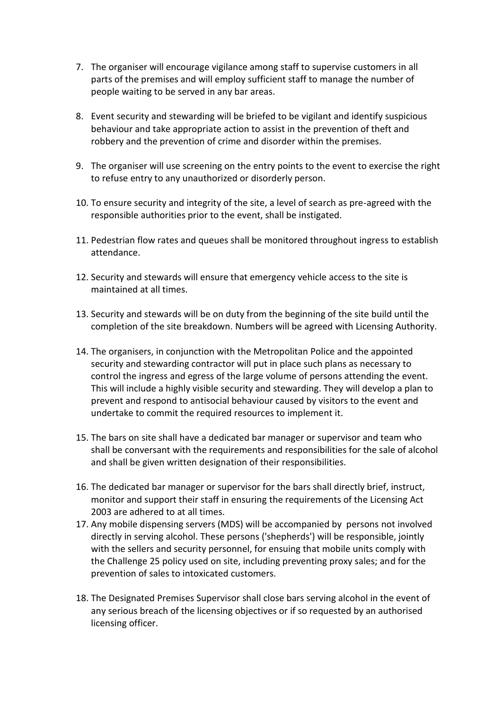- 7. The organiser will encourage vigilance among staff to supervise customers in all parts of the premises and will employ sufficient staff to manage the number of people waiting to be served in any bar areas.
- 8. Event security and stewarding will be briefed to be vigilant and identify suspicious behaviour and take appropriate action to assist in the prevention of theft and robbery and the prevention of crime and disorder within the premises.
- 9. The organiser will use screening on the entry points to the event to exercise the right to refuse entry to any unauthorized or disorderly person.
- 10. To ensure security and integrity of the site, a level of search as pre-agreed with the responsible authorities prior to the event, shall be instigated.
- 11. Pedestrian flow rates and queues shall be monitored throughout ingress to establish attendance.
- 12. Security and stewards will ensure that emergency vehicle access to the site is maintained at all times.
- 13. Security and stewards will be on duty from the beginning of the site build until the completion of the site breakdown. Numbers will be agreed with Licensing Authority.
- 14. The organisers, in conjunction with the Metropolitan Police and the appointed security and stewarding contractor will put in place such plans as necessary to control the ingress and egress of the large volume of persons attending the event. This will include a highly visible security and stewarding. They will develop a plan to prevent and respond to antisocial behaviour caused by visitors to the event and undertake to commit the required resources to implement it.
- 15. The bars on site shall have a dedicated bar manager or supervisor and team who shall be conversant with the requirements and responsibilities for the sale of alcohol and shall be given written designation of their responsibilities.
- 16. The dedicated bar manager or supervisor for the bars shall directly brief, instruct, monitor and support their staff in ensuring the requirements of the Licensing Act 2003 are adhered to at all times.
- 17. Any mobile dispensing servers (MDS) will be accompanied by persons not involved directly in serving alcohol. These persons ('shepherds') will be responsible, jointly with the sellers and security personnel, for ensuing that mobile units comply with the Challenge 25 policy used on site, including preventing proxy sales; and for the prevention of sales to intoxicated customers.
- 18. The Designated Premises Supervisor shall close bars serving alcohol in the event of any serious breach of the licensing objectives or if so requested by an authorised licensing officer.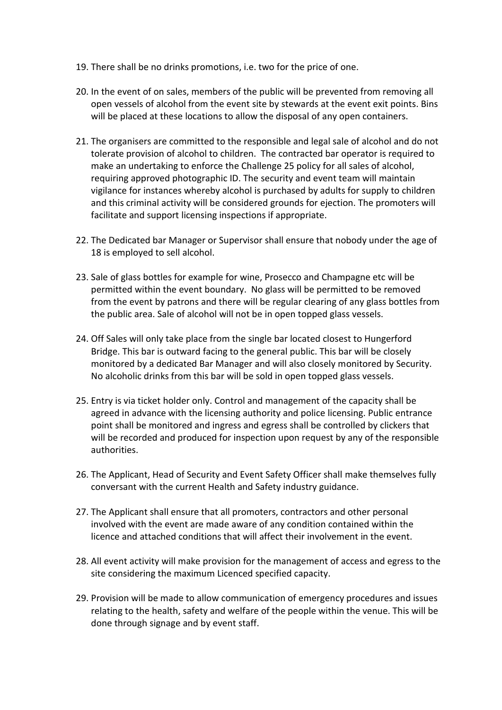- 19. There shall be no drinks promotions, i.e. two for the price of one.
- 20. In the event of on sales, members of the public will be prevented from removing all open vessels of alcohol from the event site by stewards at the event exit points. Bins will be placed at these locations to allow the disposal of any open containers.
- 21. The organisers are committed to the responsible and legal sale of alcohol and do not tolerate provision of alcohol to children. The contracted bar operator is required to make an undertaking to enforce the Challenge 25 policy for all sales of alcohol, requiring approved photographic ID. The security and event team will maintain vigilance for instances whereby alcohol is purchased by adults for supply to children and this criminal activity will be considered grounds for ejection. The promoters will facilitate and support licensing inspections if appropriate.
- 22. The Dedicated bar Manager or Supervisor shall ensure that nobody under the age of 18 is employed to sell alcohol.
- 23. Sale of glass bottles for example for wine, Prosecco and Champagne etc will be permitted within the event boundary. No glass will be permitted to be removed from the event by patrons and there will be regular clearing of any glass bottles from the public area. Sale of alcohol will not be in open topped glass vessels.
- 24. Off Sales will only take place from the single bar located closest to Hungerford Bridge. This bar is outward facing to the general public. This bar will be closely monitored by a dedicated Bar Manager and will also closely monitored by Security. No alcoholic drinks from this bar will be sold in open topped glass vessels.
- 25. Entry is via ticket holder only. Control and management of the capacity shall be agreed in advance with the licensing authority and police licensing. Public entrance point shall be monitored and ingress and egress shall be controlled by clickers that will be recorded and produced for inspection upon request by any of the responsible authorities.
- 26. The Applicant, Head of Security and Event Safety Officer shall make themselves fully conversant with the current Health and Safety industry guidance.
- 27. The Applicant shall ensure that all promoters, contractors and other personal involved with the event are made aware of any condition contained within the licence and attached conditions that will affect their involvement in the event.
- 28. All event activity will make provision for the management of access and egress to the site considering the maximum Licenced specified capacity.
- 29. Provision will be made to allow communication of emergency procedures and issues relating to the health, safety and welfare of the people within the venue. This will be done through signage and by event staff.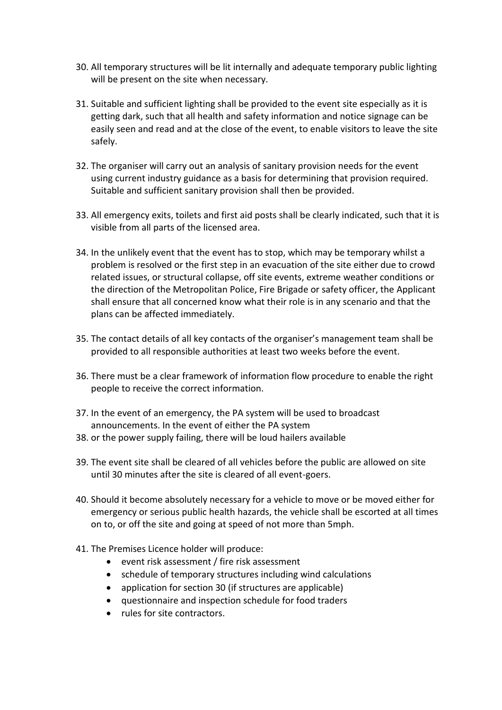- 30. All temporary structures will be lit internally and adequate temporary public lighting will be present on the site when necessary.
- 31. Suitable and sufficient lighting shall be provided to the event site especially as it is getting dark, such that all health and safety information and notice signage can be easily seen and read and at the close of the event, to enable visitors to leave the site safely.
- 32. The organiser will carry out an analysis of sanitary provision needs for the event using current industry guidance as a basis for determining that provision required. Suitable and sufficient sanitary provision shall then be provided.
- 33. All emergency exits, toilets and first aid posts shall be clearly indicated, such that it is visible from all parts of the licensed area.
- 34. In the unlikely event that the event has to stop, which may be temporary whilst a problem is resolved or the first step in an evacuation of the site either due to crowd related issues, or structural collapse, off site events, extreme weather conditions or the direction of the Metropolitan Police, Fire Brigade or safety officer, the Applicant shall ensure that all concerned know what their role is in any scenario and that the plans can be affected immediately.
- 35. The contact details of all key contacts of the organiser's management team shall be provided to all responsible authorities at least two weeks before the event.
- 36. There must be a clear framework of information flow procedure to enable the right people to receive the correct information.
- 37. In the event of an emergency, the PA system will be used to broadcast announcements. In the event of either the PA system
- 38. or the power supply failing, there will be loud hailers available
- 39. The event site shall be cleared of all vehicles before the public are allowed on site until 30 minutes after the site is cleared of all event-goers.
- 40. Should it become absolutely necessary for a vehicle to move or be moved either for emergency or serious public health hazards, the vehicle shall be escorted at all times on to, or off the site and going at speed of not more than 5mph.
- 41. The Premises Licence holder will produce:
	- event risk assessment / fire risk assessment
	- schedule of temporary structures including wind calculations
	- application for section 30 (if structures are applicable)
	- questionnaire and inspection schedule for food traders
	- rules for site contractors.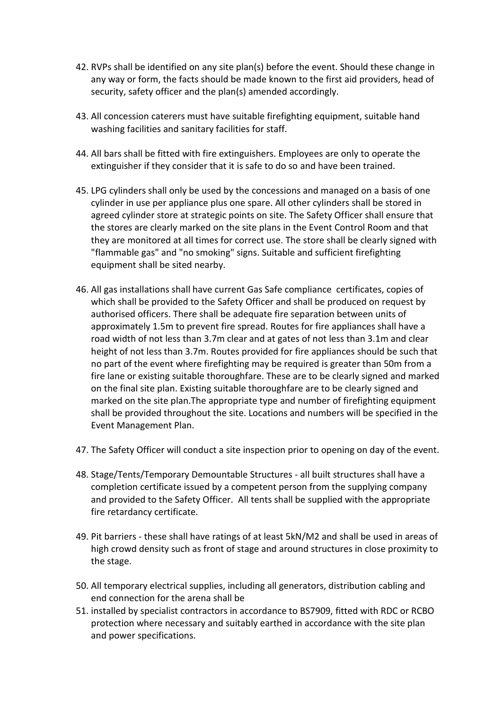- 42. RVPs shall be identified on any site plan(s) before the event. Should these change in any way or form, the facts should be made known to the first aid providers, head of security, safety officer and the plan(s) amended accordingly.
- 43. All concession caterers must have suitable firefighting equipment, suitable hand washing facilities and sanitary facilities for staff.
- 44. All bars shall be fitted with fire extinguishers. Employees are only to operate the extinguisher if they consider that it is safe to do so and have been trained.
- 45. LPG cylinders shall only be used by the concessions and managed on a basis of one cylinder in use per appliance plus one spare. All other cylinders shall be stored in agreed cylinder store at strategic points on site. The Safety Officer shall ensure that the stores are clearly marked on the site plans in the Event Control Room and that they are monitored at all times for correct use. The store shall be clearly signed with "flammable gas" and "no smoking" signs. Suitable and sufficient firefighting equipment shall be sited nearby.
- 46. All gas installations shall have current Gas Safe compliance certificates, copies of which shall be provided to the Safety Officer and shall be produced on request by authorised officers. There shall be adequate fire separation between units of approximately 1.5m to prevent fire spread. Routes for fire appliances shall have a road width of not less than 3.7m clear and at gates of not less than 3.1m and clear height of not less than 3.7m. Routes provided for fire appliances should be such that no part of the event where firefighting may be required is greater than 50m from a fire lane or existing suitable thoroughfare. These are to be clearly signed and marked on the final site plan. Existing suitable thoroughfare are to be clearly signed and marked on the site plan.The appropriate type and number of firefighting equipment shall be provided throughout the site. Locations and numbers will be specified in the Event Management Plan.
- 47. The Safety Officer will conduct a site inspection prior to opening on day of the event.
- 48. Stage/Tents/Temporary Demountable Structures all built structures shall have a completion certificate issued by a competent person from the supplying company and provided to the Safety Officer. All tents shall be supplied with the appropriate fire retardancy certificate.
- 49. Pit barriers these shall have ratings of at least 5kN/M2 and shall be used in areas of high crowd density such as front of stage and around structures in close proximity to the stage.
- 50. All temporary electrical supplies, including all generators, distribution cabling and end connection for the arena shall be
- 51. installed by specialist contractors in accordance to BS7909, fitted with RDC or RCBO protection where necessary and suitably earthed in accordance with the site plan and power specifications.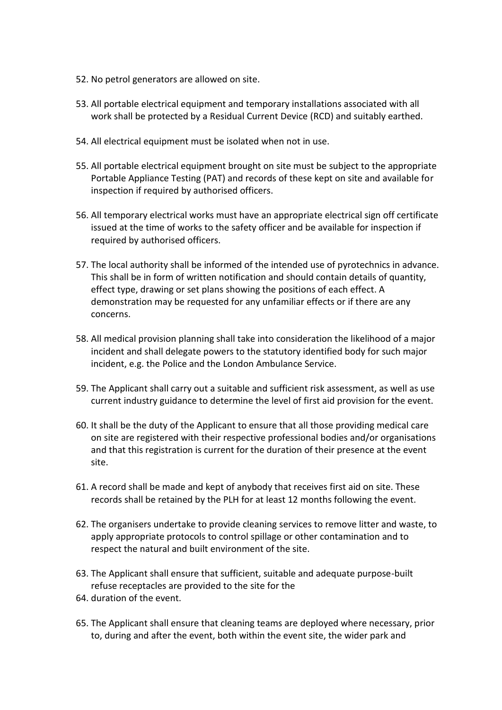- 52. No petrol generators are allowed on site.
- 53. All portable electrical equipment and temporary installations associated with all work shall be protected by a Residual Current Device (RCD) and suitably earthed.
- 54. All electrical equipment must be isolated when not in use.
- 55. All portable electrical equipment brought on site must be subject to the appropriate Portable Appliance Testing (PAT) and records of these kept on site and available for inspection if required by authorised officers.
- 56. All temporary electrical works must have an appropriate electrical sign off certificate issued at the time of works to the safety officer and be available for inspection if required by authorised officers.
- 57. The local authority shall be informed of the intended use of pyrotechnics in advance. This shall be in form of written notification and should contain details of quantity, effect type, drawing or set plans showing the positions of each effect. A demonstration may be requested for any unfamiliar effects or if there are any concerns.
- 58. All medical provision planning shall take into consideration the likelihood of a major incident and shall delegate powers to the statutory identified body for such major incident, e.g. the Police and the London Ambulance Service.
- 59. The Applicant shall carry out a suitable and sufficient risk assessment, as well as use current industry guidance to determine the level of first aid provision for the event.
- 60. It shall be the duty of the Applicant to ensure that all those providing medical care on site are registered with their respective professional bodies and/or organisations and that this registration is current for the duration of their presence at the event site.
- 61. A record shall be made and kept of anybody that receives first aid on site. These records shall be retained by the PLH for at least 12 months following the event.
- 62. The organisers undertake to provide cleaning services to remove litter and waste, to apply appropriate protocols to control spillage or other contamination and to respect the natural and built environment of the site.
- 63. The Applicant shall ensure that sufficient, suitable and adequate purpose-built refuse receptacles are provided to the site for the
- 64. duration of the event.
- 65. The Applicant shall ensure that cleaning teams are deployed where necessary, prior to, during and after the event, both within the event site, the wider park and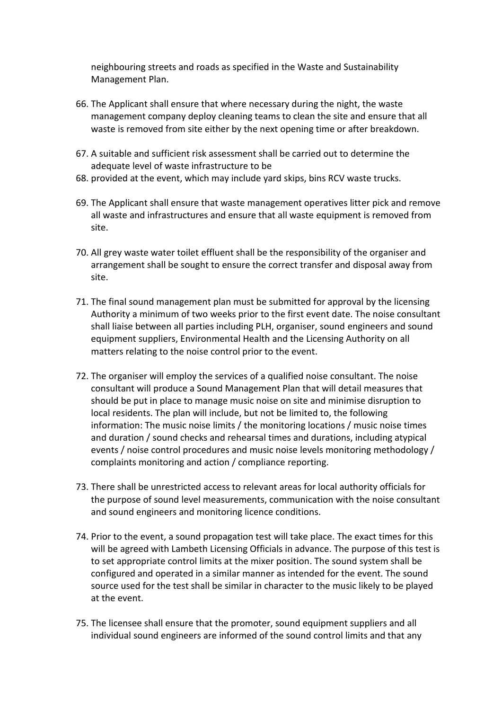neighbouring streets and roads as specified in the Waste and Sustainability Management Plan.

- 66. The Applicant shall ensure that where necessary during the night, the waste management company deploy cleaning teams to clean the site and ensure that all waste is removed from site either by the next opening time or after breakdown.
- 67. A suitable and sufficient risk assessment shall be carried out to determine the adequate level of waste infrastructure to be
- 68. provided at the event, which may include yard skips, bins RCV waste trucks.
- 69. The Applicant shall ensure that waste management operatives litter pick and remove all waste and infrastructures and ensure that all waste equipment is removed from site.
- 70. All grey waste water toilet effluent shall be the responsibility of the organiser and arrangement shall be sought to ensure the correct transfer and disposal away from site.
- 71. The final sound management plan must be submitted for approval by the licensing Authority a minimum of two weeks prior to the first event date. The noise consultant shall liaise between all parties including PLH, organiser, sound engineers and sound equipment suppliers, Environmental Health and the Licensing Authority on all matters relating to the noise control prior to the event.
- 72. The organiser will employ the services of a qualified noise consultant. The noise consultant will produce a Sound Management Plan that will detail measures that should be put in place to manage music noise on site and minimise disruption to local residents. The plan will include, but not be limited to, the following information: The music noise limits / the monitoring locations / music noise times and duration / sound checks and rehearsal times and durations, including atypical events / noise control procedures and music noise levels monitoring methodology / complaints monitoring and action / compliance reporting.
- 73. There shall be unrestricted access to relevant areas for local authority officials for the purpose of sound level measurements, communication with the noise consultant and sound engineers and monitoring licence conditions.
- 74. Prior to the event, a sound propagation test will take place. The exact times for this will be agreed with Lambeth Licensing Officials in advance. The purpose of this test is to set appropriate control limits at the mixer position. The sound system shall be configured and operated in a similar manner as intended for the event. The sound source used for the test shall be similar in character to the music likely to be played at the event.
- 75. The licensee shall ensure that the promoter, sound equipment suppliers and all individual sound engineers are informed of the sound control limits and that any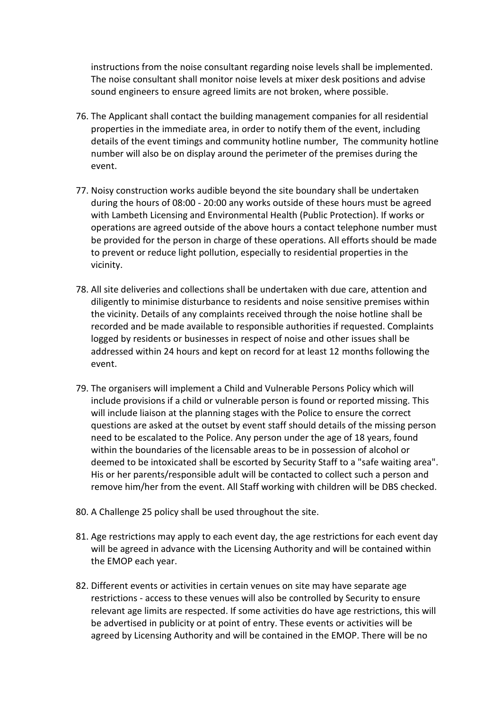instructions from the noise consultant regarding noise levels shall be implemented. The noise consultant shall monitor noise levels at mixer desk positions and advise sound engineers to ensure agreed limits are not broken, where possible.

- 76. The Applicant shall contact the building management companies for all residential properties in the immediate area, in order to notify them of the event, including details of the event timings and community hotline number, The community hotline number will also be on display around the perimeter of the premises during the event.
- 77. Noisy construction works audible beyond the site boundary shall be undertaken during the hours of 08:00 - 20:00 any works outside of these hours must be agreed with Lambeth Licensing and Environmental Health (Public Protection). If works or operations are agreed outside of the above hours a contact telephone number must be provided for the person in charge of these operations. All efforts should be made to prevent or reduce light pollution, especially to residential properties in the vicinity.
- 78. All site deliveries and collections shall be undertaken with due care, attention and diligently to minimise disturbance to residents and noise sensitive premises within the vicinity. Details of any complaints received through the noise hotline shall be recorded and be made available to responsible authorities if requested. Complaints logged by residents or businesses in respect of noise and other issues shall be addressed within 24 hours and kept on record for at least 12 months following the event.
- 79. The organisers will implement a Child and Vulnerable Persons Policy which will include provisions if a child or vulnerable person is found or reported missing. This will include liaison at the planning stages with the Police to ensure the correct questions are asked at the outset by event staff should details of the missing person need to be escalated to the Police. Any person under the age of 18 years, found within the boundaries of the licensable areas to be in possession of alcohol or deemed to be intoxicated shall be escorted by Security Staff to a "safe waiting area". His or her parents/responsible adult will be contacted to collect such a person and remove him/her from the event. All Staff working with children will be DBS checked.
- 80. A Challenge 25 policy shall be used throughout the site.
- 81. Age restrictions may apply to each event day, the age restrictions for each event day will be agreed in advance with the Licensing Authority and will be contained within the EMOP each year.
- 82. Different events or activities in certain venues on site may have separate age restrictions - access to these venues will also be controlled by Security to ensure relevant age limits are respected. If some activities do have age restrictions, this will be advertised in publicity or at point of entry. These events or activities will be agreed by Licensing Authority and will be contained in the EMOP. There will be no